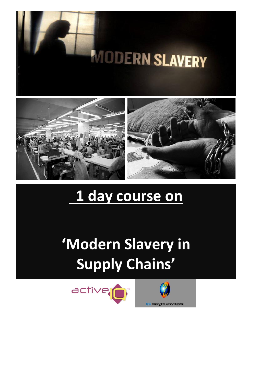





# **1 day course on**

**'Modern Slavery in Supply Chains'**



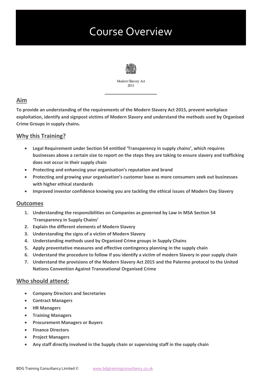# Course Overview



Modern Slavery Act 2015

# **Aim**

**To provide an understanding of the requirements of the Modern Slavery Act 2015, prevent workplace exploitation, identify and signpost victims of Modern Slavery and understand the methods used by Organised Crime Groups in supply chains.**

# **Why this Training?**

- **Legal Requirement under Section 54 entitled 'Transparency in supply chains', which requires businesses above a certain size to report on the steps they are taking to ensure slavery and trafficking does not occur in their supply chain**
- **Protecting and enhancing your organisation's reputation and brand**
- **Protecting and growing your organisation's customer base as more consumers seek out businesses with higher ethical standards**
- **Improved investor confidence knowing you are tackling the ethical issues of Modern Day Slavery**

# **Outcomes**

- **1. Understanding the responsibilities on Companies as governed by Law in MSA Section 54 'Transparency in Supply Chains'**
- **2. Explain the different elements of Modern Slavery**
- **3. Understanding the signs of a victim of Modern Slavery**
- **4. Understanding methods used by Organised Crime groups in Supply Chains**
- **5. Apply preventative measures and effective contingency planning in the supply chain**
- **6. Understand the procedure to follow if you identify a victim of modern Slavery in your supply chain**
- **7. Understand the provisions of the Modern Slavery Act 2015 and the Palermo protocol to the United Nations Convention Against Transnational Organised Crime**

# **Who should attend:**

- **Company Directors and Secretaries**
- **Contract Managers**
- **HR Managers**
- **Training Managers**
- **Procurement Managers or Buyers**
- **Finance Directors**
- **Project Managers**
- **Any staff directly involved in the Supply chain or supervising staff in the supply chain**